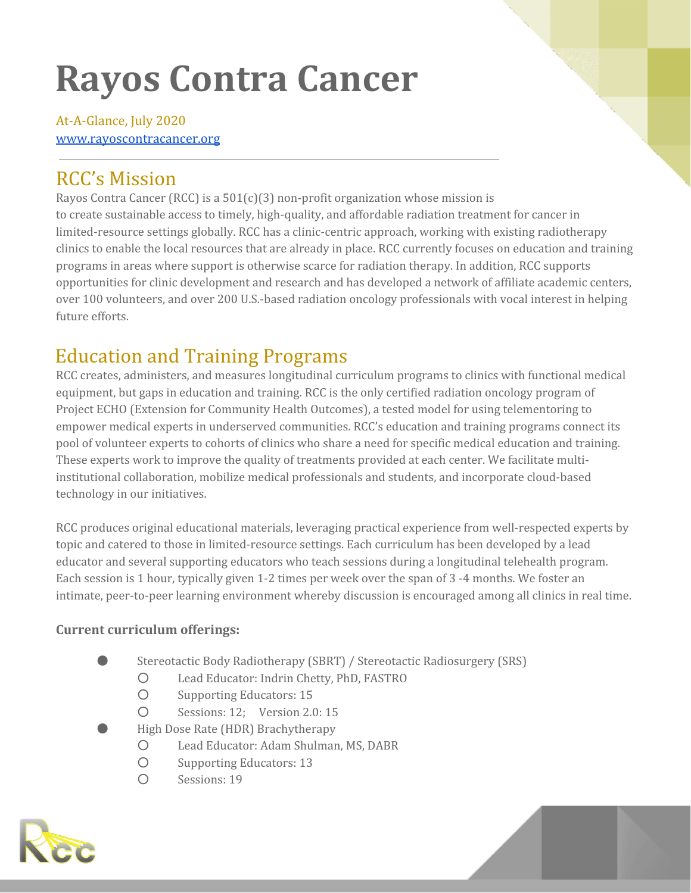# **Rayos Contra Cancer**

At-A-Glance, July 2020 [www.rayoscontracancer.org](http://www.rayoscontracancer.org/)

# RCC's Mission

Rayos Contra Cancer (RCC) is a  $501(c)(3)$  non-profit organization whose mission is to create sustainable access to timely, high-quality, and affordable radiation treatment for cancer in limited-resource settings globally. RCC has a clinic-centric approach, working with existing radiotherapy clinics to enable the local resources that are already in place. RCC currently focuses on education and training programs in areas where support is otherwise scarce for radiation therapy. In addition, RCC supports opportunities for clinic development and research and has developed a network of affiliate academic centers, over 100 volunteers, and over 200 U.S.-based radiation oncology professionals with vocal interest in helping future efforts.

# Education and Training Programs

RCC creates, administers, and measures longitudinal curriculum programs to clinics with functional medical equipment, but gaps in education and training. RCC is the only certified radiation oncology program of Project ECHO (Extension for Community Health Outcomes), a tested model for using telementoring to empower medical experts in underserved communities. RCC's education and training programs connect its pool of volunteer experts to cohorts of clinics who share a need for specific medical education and training. These experts work to improve the quality of treatments provided at each center. We facilitate multiinstitutional collaboration, mobilize medical professionals and students, and incorporate cloud-based technology in our initiatives.

RCC produces original educational materials, leveraging practical experience from well-respected experts by topic and catered to those in limited-resource settings. Each curriculum has been developed by a lead educator and several supporting educators who teach sessions during a longitudinal telehealth program. Each session is 1 hour, typically given 1-2 times per week over the span of 3 -4 months. We foster an intimate, peer-to-peer learning environment whereby discussion is encouraged among all clinics in real time.

# **Current curriculum offerings:**

- Stereotactic Body Radiotherapy (SBRT) / Stereotactic Radiosurgery (SRS)
	- O Lead Educator: Indrin Chetty, PhD, FASTRO
	- Supporting Educators: 15
	- Sessions: 12; Version 2.0: 15
- High Dose Rate (HDR) Brachytherapy
	- Lead Educator: Adam Shulman, MS, DABR
	- Supporting Educators: 13
	- O Sessions: 19

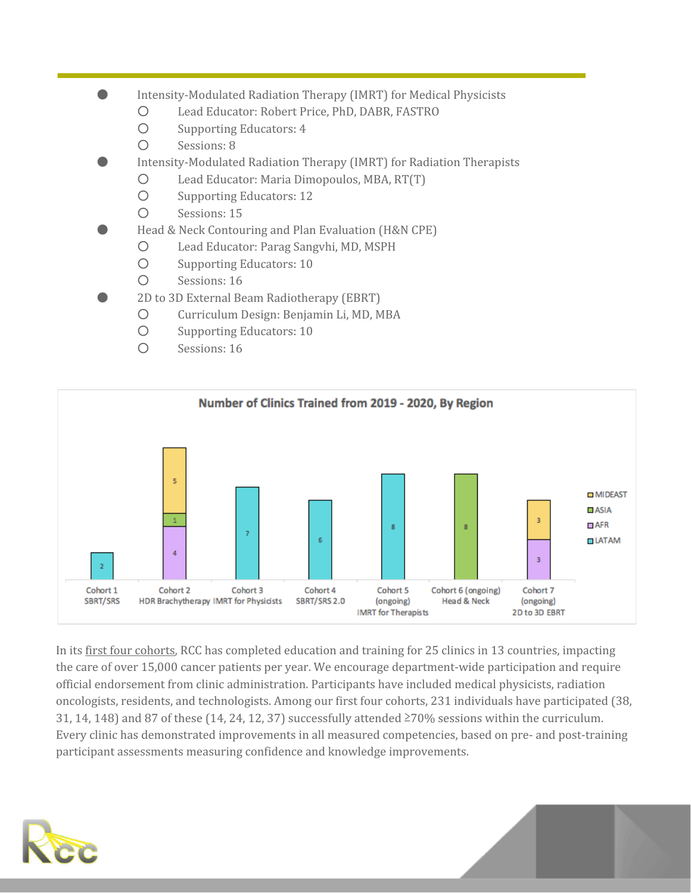- Intensity-Modulated Radiation Therapy (IMRT) for Medical Physicists
	- Lead Educator: Robert Price, PhD, DABR, FASTRO
	- Supporting Educators: 4
	- Sessions: 8
- Intensity-Modulated Radiation Therapy (IMRT) for Radiation Therapists
	- Lead Educator: Maria Dimopoulos, MBA, RT(T)
	- Supporting Educators: 12
	- Sessions: 15
- Head & Neck Contouring and Plan Evaluation (H&N CPE)
	- Lead Educator: Parag Sangvhi, MD, MSPH
	- Supporting Educators: 10
	- Sessions: 16
- 2D to 3D External Beam Radiotherapy (EBRT)
	- Curriculum Design: Benjamin Li, MD, MBA
	- Supporting Educators: 10
	- Sessions: 16



In its first four cohorts, RCC has completed education and training for 25 clinics in 13 countries, impacting the care of over 15,000 cancer patients per year. We encourage department-wide participation and require official endorsement from clinic administration. Participants have included medical physicists, radiation oncologists, residents, and technologists. Among our first four cohorts, 231 individuals have participated (38, 31, 14, 148) and 87 of these (14, 24, 12, 37) successfully attended ≥70% sessions within the curriculum. Every clinic has demonstrated improvements in all measured competencies, based on pre- and post-training participant assessments measuring confidence and knowledge improvements.

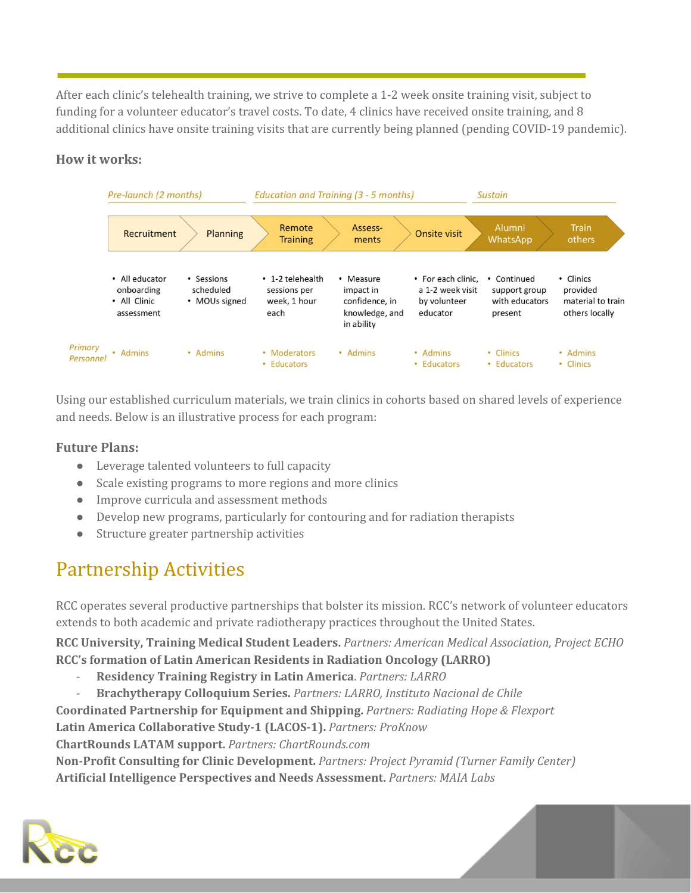After each clinic's telehealth training, we strive to complete a 1-2 week onsite training visit, subject to funding for a volunteer educator's travel costs. To date, 4 clinics have received onsite training, and 8 additional clinics have onsite training visits that are currently being planned (pending COVID-19 pandemic).

## **How it works:**



Using our established curriculum materials, we train clinics in cohorts based on shared levels of experience and needs. Below is an illustrative process for each program:

## **Future Plans:**

- Leverage talented volunteers to full capacity
- Scale existing programs to more regions and more clinics
- Improve curricula and assessment methods
- Develop new programs, particularly for contouring and for radiation therapists
- Structure greater partnership activities

# Partnership Activities

RCC operates several productive partnerships that bolster its mission. RCC's network of volunteer educators extends to both academic and private radiotherapy practices throughout the United States.

**RCC University, Training Medical Student Leaders.** *Partners: American Medical Association, Project ECHO* **RCC's formation of Latin American Residents in Radiation Oncology (LARRO)**

- **Residency Training Registry in Latin America**. *Partners: LARRO*
- **Brachytherapy Colloquium Series.** *Partners: LARRO, Instituto Nacional de Chile*

**Coordinated Partnership for Equipment and Shipping.** *Partners: Radiating Hope & Flexport*

**Latin America Collaborative Study-1 (LACOS-1).** *Partners: ProKnow*

**ChartRounds LATAM support.** *Partners: ChartRounds.com*

**Non-Profit Consulting for Clinic Development.** *Partners: Project Pyramid (Turner Family Center)* **Artificial Intelligence Perspectives and Needs Assessment.** *Partners: MAIA Labs*

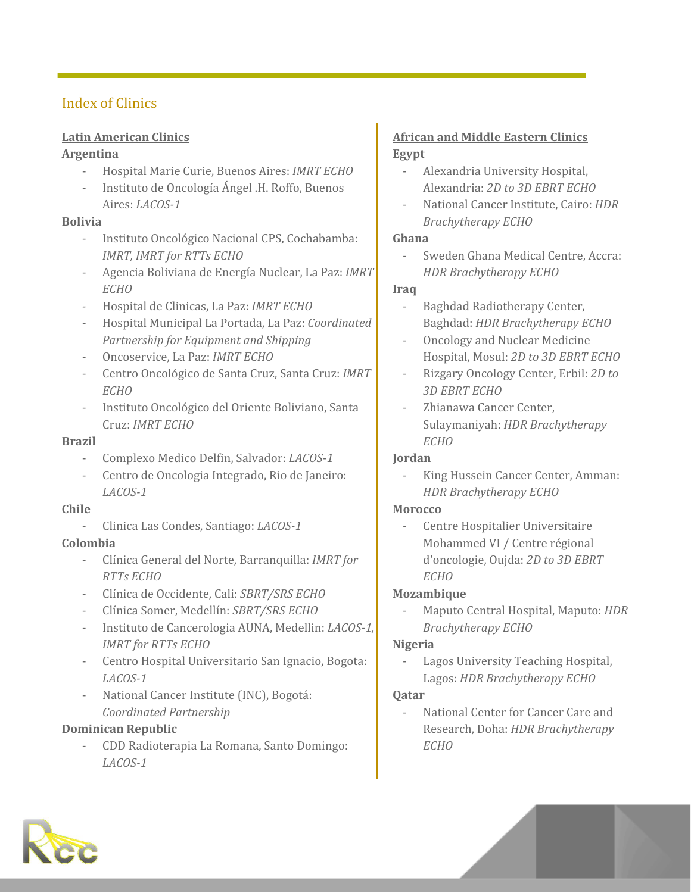# Index of Clinics

#### **Latin American Clinics**

#### **Argentina**

- Hospital Marie Curie, Buenos Aires: *IMRT ECHO*
- Instituto de Oncología Ángel .H. Roffo, Buenos Aires: *LACOS-1*

#### **Bolivia**

- Instituto Oncológico Nacional CPS, Cochabamba: *IMRT, IMRT for RTTs ECHO*
- Agencia Boliviana de Energía Nuclear, La Paz: *IMRT ECHO*
- *-* Hospital de Clinicas, La Paz: *IMRT ECHO*
- Hospital Municipal La Portada, La Paz: *Coordinated Partnership for Equipment and Shipping*
- Oncoservice, La Paz: *IMRT ECHO*
- Centro Oncológico de Santa Cruz, Santa Cruz: *IMRT ECHO*
- Instituto Oncológico del Oriente Boliviano, Santa Cruz: *IMRT ECHO*

#### **Brazil**

- Complexo Medico Delfin, Salvador: *LACOS-1*
- Centro de Oncologia Integrado, Rio de Janeiro: *LACOS-1*

#### **Chile**

- Clinica Las Condes, Santiago: *LACOS-1*

#### **Colombia**

- Clínica General del Norte, Barranquilla: *IMRT for RTTs ECHO*
- Clínica de Occidente, Cali: *SBRT/SRS ECHO*
- Clínica Somer, Medellín: *SBRT/SRS ECHO*
- Instituto de Cancerologia AUNA, Medellin: *LACOS-1, IMRT for RTTs ECHO*
- Centro Hospital Universitario San Ignacio, Bogota: *LACOS-1*
- National Cancer Institute (INC), Bogotá: *Coordinated Partnership*

## **Dominican Republic**

- CDD Radioterapia La Romana, Santo Domingo: *LACOS-1*

## **African and Middle Eastern Clinics Egypt**

- Alexandria University Hospital, Alexandria: *2D to 3D EBRT ECHO*
- National Cancer Institute, Cairo: *HDR Brachytherapy ECHO*

#### **Ghana**

- Sweden Ghana Medical Centre, Accra: *HDR Brachytherapy ECHO*

#### **Iraq**

- Baghdad Radiotherapy Center, Baghdad: *HDR Brachytherapy ECHO*
- Oncology and Nuclear Medicine Hospital, Mosul: *2D to 3D EBRT ECHO*
- Rizgary Oncology Center, Erbil: *2D to 3D EBRT ECHO*
- Zhianawa Cancer Center, Sulaymaniyah: *HDR Brachytherapy ECHO*

#### **Jordan**

King Hussein Cancer Center, Amman: *HDR Brachytherapy ECHO*

#### **Morocco**

Centre Hospitalier Universitaire Mohammed VI / Centre régional d'oncologie, Oujda: *2D to 3D EBRT ECHO*

#### **Mozambique**

- Maputo Central Hospital, Maputo: *HDR Brachytherapy ECHO*

#### **Nigeria**

Lagos University Teaching Hospital, Lagos: *HDR Brachytherapy ECHO*

#### **Qatar**

- National Center for Cancer Care and Research, Doha: *HDR Brachytherapy ECHO*